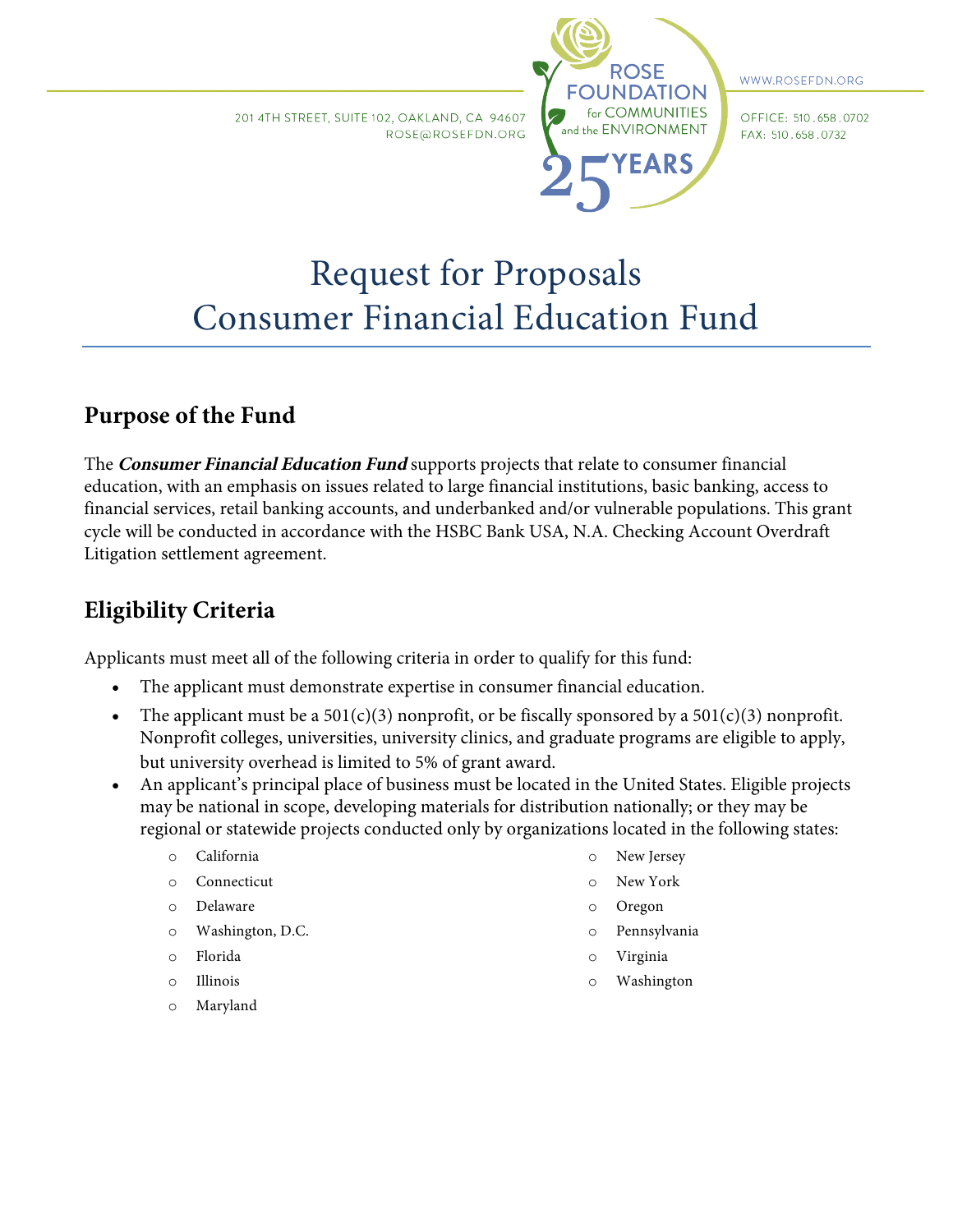201 4TH STREET, SUITE 102, OAKLAND, CA 94607 ROSE@ROSEFDN.ORG



WWW.ROSEFDN.ORG

OFFICE: 510.658.0702 FAX: 510.658.0732

# Request for Proposals Consumer Financial Education Fund

# **Purpose of the Fund**

The **Consumer Financial Education Fund** supports projects that relate to consumer financial education, with an emphasis on issues related to large financial institutions, basic banking, access to financial services, retail banking accounts, and underbanked and/or vulnerable populations. This grant cycle will be conducted in accordance with the HSBC Bank USA, N.A. Checking Account Overdraft Litigation settlement agreement.

# **Eligibility Criteria**

Applicants must meet all of the following criteria in order to qualify for this fund:

- The applicant must demonstrate expertise in consumer financial education.
- The applicant must be a  $501(c)(3)$  nonprofit, or be fiscally sponsored by a  $501(c)(3)$  nonprofit. Nonprofit colleges, universities, university clinics, and graduate programs are eligible to apply, but university overhead is limited to 5% of grant award.
- An applicant's principal place of business must be located in the United States. Eligible projects may be national in scope, developing materials for distribution nationally; or they may be regional or statewide projects conducted only by organizations located in the following states:
	- o California
	- o Connecticut
	- o Delaware
	- o Washington, D.C.
	- o Florida
	- o Illinois
	- o Maryland
- o New Jersey
- o New York
- o Oregon
- o Pennsylvania
- o Virginia
- o Washington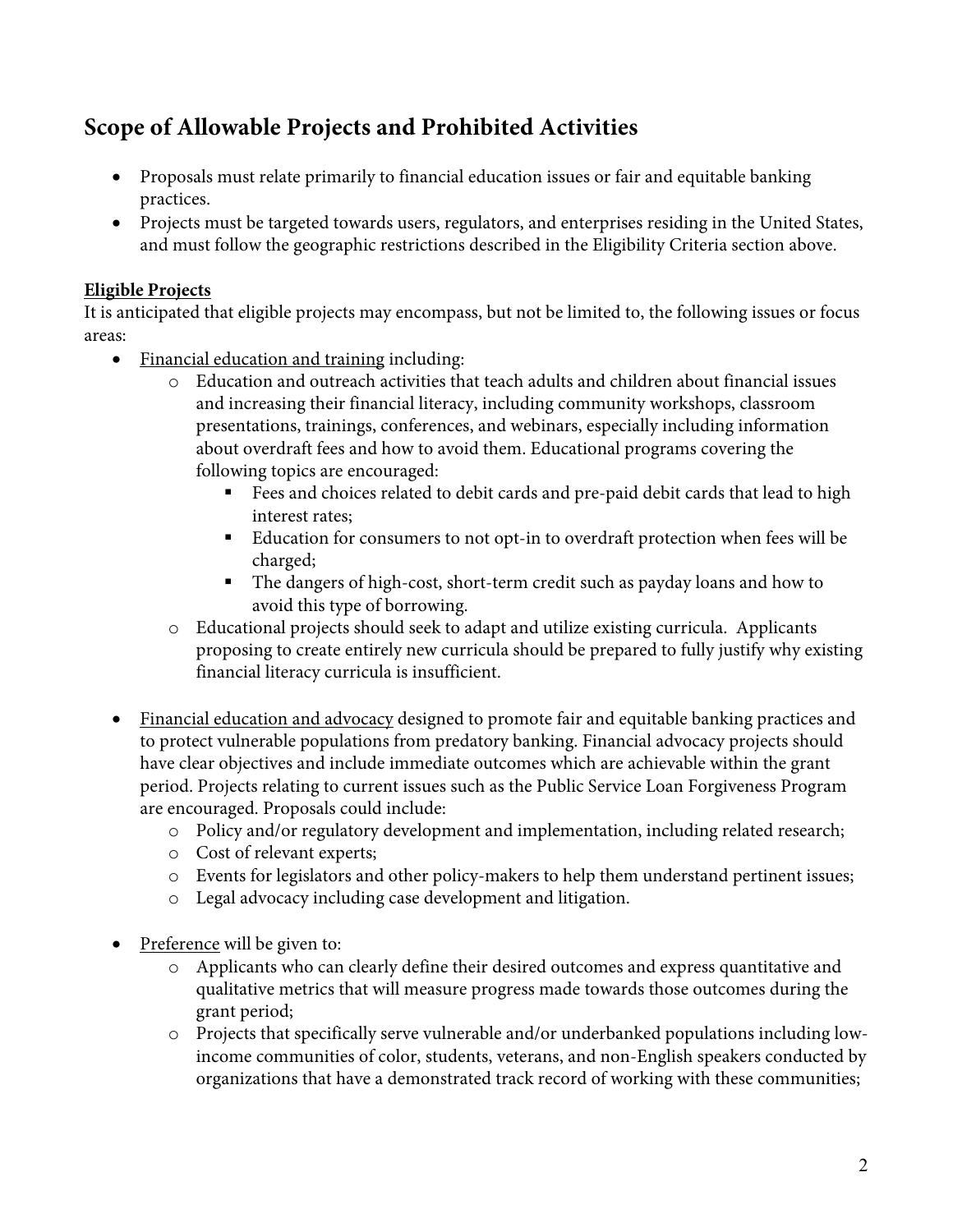# **Scope of Allowable Projects and Prohibited Activities**

- Proposals must relate primarily to financial education issues or fair and equitable banking practices.
- Projects must be targeted towards users, regulators, and enterprises residing in the United States, and must follow the geographic restrictions described in the Eligibility Criteria section above.

#### **Eligible Projects**

It is anticipated that eligible projects may encompass, but not be limited to, the following issues or focus areas:

- Financial education and training including:
	- o Education and outreach activities that teach adults and children about financial issues and increasing their financial literacy, including community workshops, classroom presentations, trainings, conferences, and webinars, especially including information about overdraft fees and how to avoid them. Educational programs covering the following topics are encouraged:
		- Fees and choices related to debit cards and pre-paid debit cards that lead to high interest rates;
		- Education for consumers to not opt-in to overdraft protection when fees will be charged;
		- § The dangers of high-cost, short-term credit such as payday loans and how to avoid this type of borrowing.
	- o Educational projects should seek to adapt and utilize existing curricula. Applicants proposing to create entirely new curricula should be prepared to fully justify why existing financial literacy curricula is insufficient.
- Financial education and advocacy designed to promote fair and equitable banking practices and to protect vulnerable populations from predatory banking. Financial advocacy projects should have clear objectives and include immediate outcomes which are achievable within the grant period. Projects relating to current issues such as the Public Service Loan Forgiveness Program are encouraged. Proposals could include:
	- o Policy and/or regulatory development and implementation, including related research;
	- o Cost of relevant experts;
	- o Events for legislators and other policy-makers to help them understand pertinent issues;
	- o Legal advocacy including case development and litigation.
- Preference will be given to:
	- o Applicants who can clearly define their desired outcomes and express quantitative and qualitative metrics that will measure progress made towards those outcomes during the grant period;
	- o Projects that specifically serve vulnerable and/or underbanked populations including lowincome communities of color, students, veterans, and non-English speakers conducted by organizations that have a demonstrated track record of working with these communities;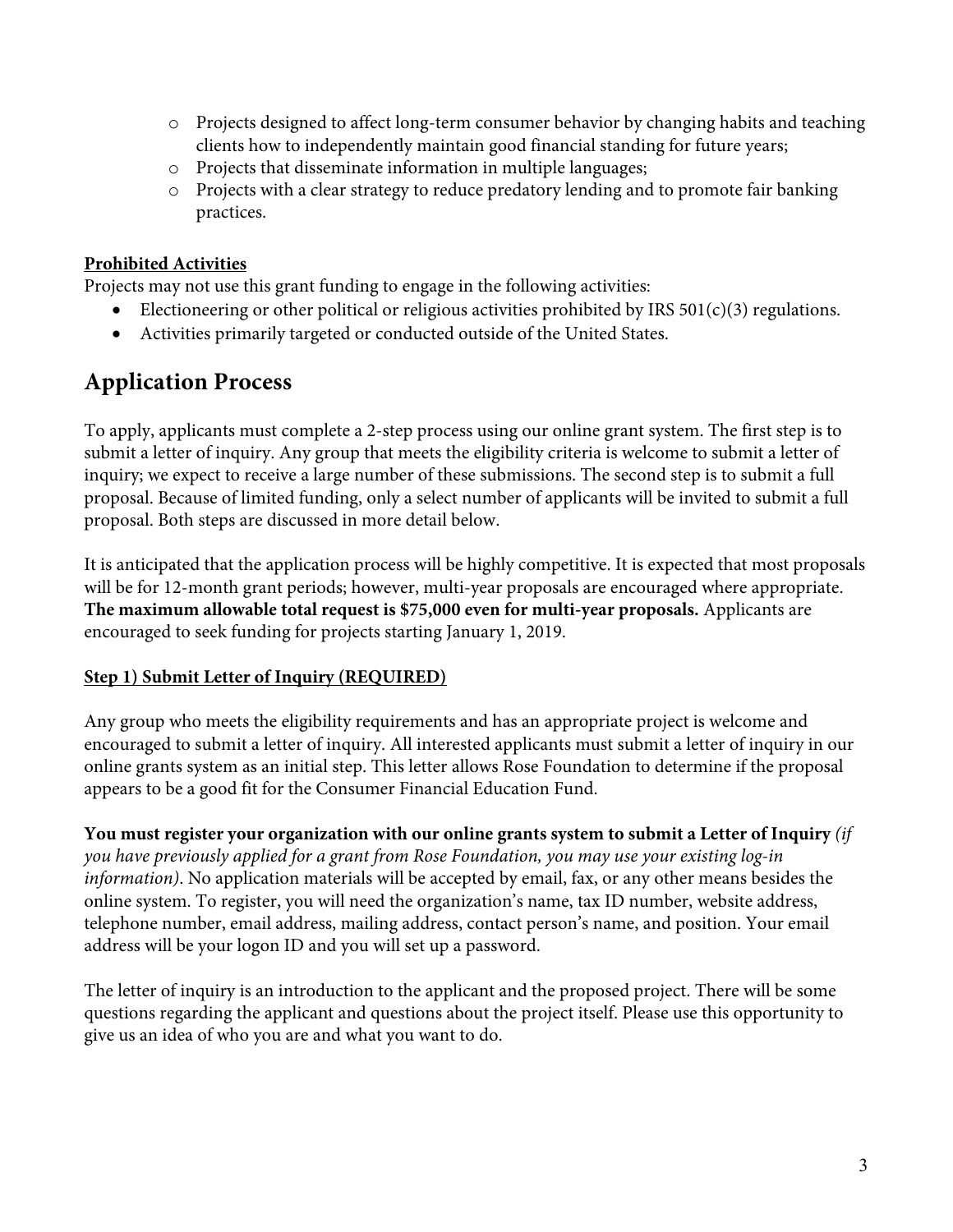- $\circ$  Projects designed to affect long-term consumer behavior by changing habits and teaching clients how to independently maintain good financial standing for future years;
- o Projects that disseminate information in multiple languages;
- o Projects with a clear strategy to reduce predatory lending and to promote fair banking practices.

#### **Prohibited Activities**

Projects may not use this grant funding to engage in the following activities:

- Electioneering or other political or religious activities prohibited by IRS 501(c)(3) regulations.
- Activities primarily targeted or conducted outside of the United States.

### **Application Process**

To apply, applicants must complete a 2-step process using our online grant system. The first step is to submit a letter of inquiry. Any group that meets the eligibility criteria is welcome to submit a letter of inquiry; we expect to receive a large number of these submissions. The second step is to submit a full proposal. Because of limited funding, only a select number of applicants will be invited to submit a full proposal. Both steps are discussed in more detail below.

It is anticipated that the application process will be highly competitive. It is expected that most proposals will be for 12-month grant periods; however, multi-year proposals are encouraged where appropriate. **The maximum allowable total request is \$75,000 even for multi-year proposals.** Applicants are encouraged to seek funding for projects starting January 1, 2019.

#### **Step 1) Submit Letter of Inquiry (REQUIRED)**

Any group who meets the eligibility requirements and has an appropriate project is welcome and encouraged to submit a letter of inquiry. All interested applicants must submit a letter of inquiry in our online grants system as an initial step. This letter allows Rose Foundation to determine if the proposal appears to be a good fit for the Consumer Financial Education Fund.

**You must register your organization with our online grants system to submit a Letter of Inquiry** *(if you have previously applied for a grant from Rose Foundation, you may use your existing log-in information)*. No application materials will be accepted by email, fax, or any other means besides the online system. To register, you will need the organization's name, tax ID number, website address, telephone number, email address, mailing address, contact person's name, and position. Your email address will be your logon ID and you will set up a password.

The letter of inquiry is an introduction to the applicant and the proposed project. There will be some questions regarding the applicant and questions about the project itself. Please use this opportunity to give us an idea of who you are and what you want to do.